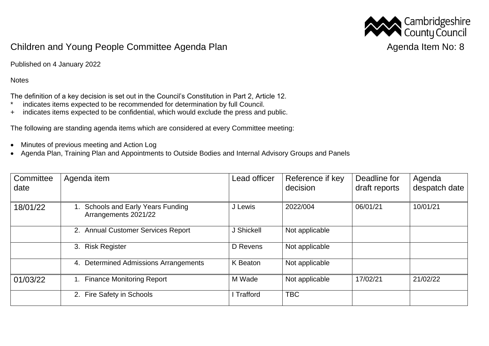

## Children and Young People Committee Agenda Plan Agenda Item No: 8

Published on 4 January 2022

**Notes** 

The definition of a key decision is set out in the Council's Constitution in Part 2, Article 12.

- \* indicates items expected to be recommended for determination by full Council.
- + indicates items expected to be confidential, which would exclude the press and public.

The following are standing agenda items which are considered at every Committee meeting:

- Minutes of previous meeting and Action Log
- Agenda Plan, Training Plan and Appointments to Outside Bodies and Internal Advisory Groups and Panels

| Committee<br>date | Agenda item                                             | Lead officer | Reference if key<br>decision | Deadline for<br>draft reports | Agenda<br>despatch date |
|-------------------|---------------------------------------------------------|--------------|------------------------------|-------------------------------|-------------------------|
| 18/01/22          | Schools and Early Years Funding<br>Arrangements 2021/22 | J Lewis      | 2022/004                     | 06/01/21                      | 10/01/21                |
|                   | 2. Annual Customer Services Report                      | J Shickell   | Not applicable               |                               |                         |
|                   | 3. Risk Register                                        | D Revens     | Not applicable               |                               |                         |
|                   | Determined Admissions Arrangements<br>4.                | K Beaton     | Not applicable               |                               |                         |
| 01/03/22          | 1. Finance Monitoring Report                            | M Wade       | Not applicable               | 17/02/21                      | 21/02/22                |
|                   | 2. Fire Safety in Schools                               | I Trafford   | <b>TBC</b>                   |                               |                         |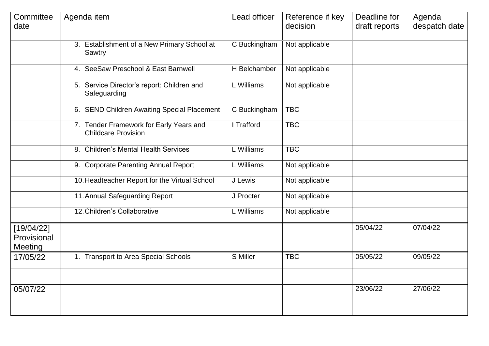| Committee<br>date                    | Agenda item                                                           | Lead officer              | Reference if key<br>decision | Deadline for<br>draft reports | Agenda<br>despatch date |
|--------------------------------------|-----------------------------------------------------------------------|---------------------------|------------------------------|-------------------------------|-------------------------|
|                                      | 3. Establishment of a New Primary School at<br>Sawtry                 | C Buckingham              | Not applicable               |                               |                         |
|                                      | 4. SeeSaw Preschool & East Barnwell                                   | H Belchamber              | Not applicable               |                               |                         |
|                                      | 5. Service Director's report: Children and<br>Safeguarding            | L Williams                | Not applicable               |                               |                         |
|                                      | 6. SEND Children Awaiting Special Placement                           | $\overline{C}$ Buckingham | <b>TBC</b>                   |                               |                         |
|                                      | 7. Tender Framework for Early Years and<br><b>Childcare Provision</b> | I Trafford                | <b>TBC</b>                   |                               |                         |
|                                      | 8. Children's Mental Health Services                                  | L Williams                | <b>TBC</b>                   |                               |                         |
|                                      | 9. Corporate Parenting Annual Report                                  | L Williams                | Not applicable               |                               |                         |
|                                      | 10. Headteacher Report for the Virtual School                         | J Lewis                   | Not applicable               |                               |                         |
|                                      | 11. Annual Safeguarding Report                                        | J Procter                 | Not applicable               |                               |                         |
|                                      | 12. Children's Collaborative                                          | L Williams                | Not applicable               |                               |                         |
| [19/04/22]<br>Provisional<br>Meeting |                                                                       |                           |                              | 05/04/22                      | 07/04/22                |
| 17/05/22                             | 1. Transport to Area Special Schools                                  | S Miller                  | <b>TBC</b>                   | 05/05/22                      | 09/05/22                |
|                                      |                                                                       |                           |                              |                               |                         |
| 05/07/22                             |                                                                       |                           |                              | 23/06/22                      | 27/06/22                |
|                                      |                                                                       |                           |                              |                               |                         |